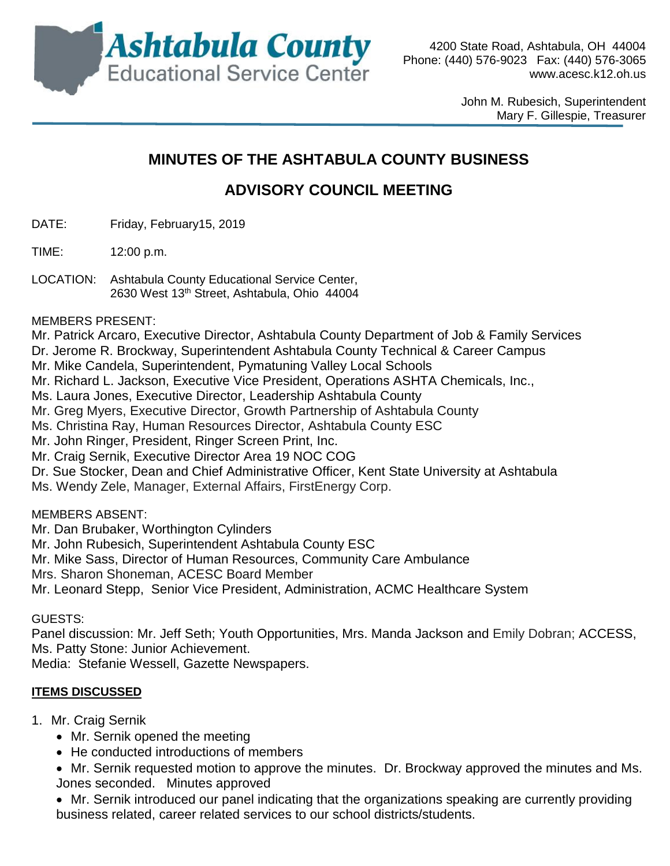

John M. Rubesich, Superintendent Mary F. Gillespie, Treasurer

# **MINUTES OF THE ASHTABULA COUNTY BUSINESS**

# **ADVISORY COUNCIL MEETING**

- DATE: Friday, February15, 2019
- TIME: 12:00 p.m.
- LOCATION: Ashtabula County Educational Service Center, 2630 West 13th Street, Ashtabula, Ohio 44004
- MEMBERS PRESENT:

Mr. Patrick Arcaro, Executive Director, Ashtabula County Department of Job & Family Services

- Dr. Jerome R. Brockway, Superintendent Ashtabula County Technical & Career Campus
- Mr. Mike Candela, Superintendent, Pymatuning Valley Local Schools
- Mr. Richard L. Jackson, Executive Vice President, Operations ASHTA Chemicals, Inc.,

Ms. Laura Jones, Executive Director, Leadership Ashtabula County

- Mr. Greg Myers, Executive Director, Growth Partnership of Ashtabula County
- Ms. Christina Ray, Human Resources Director, Ashtabula County ESC
- Mr. John Ringer, President, Ringer Screen Print, Inc.
- Mr. Craig Sernik, Executive Director Area 19 NOC COG
- Dr. Sue Stocker, Dean and Chief Administrative Officer, Kent State University at Ashtabula
- Ms. Wendy Zele, Manager, External Affairs, FirstEnergy Corp.

## MEMBERS ABSENT:

Mr. Dan Brubaker, Worthington Cylinders

- Mr. John Rubesich, Superintendent Ashtabula County ESC
- Mr. Mike Sass, Director of Human Resources, Community Care Ambulance
- Mrs. Sharon Shoneman, ACESC Board Member
- Mr. Leonard Stepp, Senior Vice President, Administration, ACMC Healthcare System

## GUESTS:

Panel discussion: Mr. Jeff Seth; Youth Opportunities, Mrs. Manda Jackson and Emily Dobran; ACCESS, Ms. Patty Stone: Junior Achievement.

Media: Stefanie Wessell, Gazette Newspapers.

## **ITEMS DISCUSSED**

- 1. Mr. Craig Sernik
	- Mr. Sernik opened the meeting
	- He conducted introductions of members
	- Mr. Sernik requested motion to approve the minutes. Dr. Brockway approved the minutes and Ms. Jones seconded. Minutes approved
	- Mr. Sernik introduced our panel indicating that the organizations speaking are currently providing business related, career related services to our school districts/students.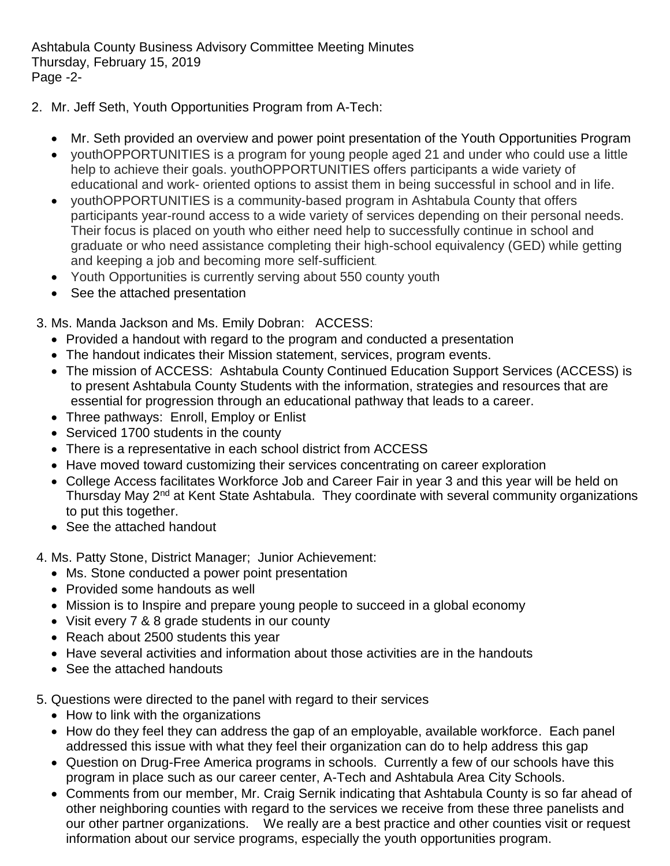Ashtabula County Business Advisory Committee Meeting Minutes Thursday, February 15, 2019 Page -2-

- 2. Mr. Jeff Seth, Youth Opportunities Program from A-Tech:
	- Mr. Seth provided an overview and power point presentation of the Youth Opportunities Program
	- youthOPPORTUNITIES is a program for young people aged 21 and under who could use a little help to achieve their goals. youthOPPORTUNITIES offers participants a wide variety of educational and work- oriented options to assist them in being successful in school and in life.
	- youthOPPORTUNITIES is a community-based program in Ashtabula County that offers participants year-round access to a wide variety of services depending on their personal needs. Their focus is placed on youth who either need help to successfully continue in school and graduate or who need assistance completing their high-school equivalency (GED) while getting and keeping a job and becoming more self-sufficient.
	- Youth Opportunities is currently serving about 550 county youth
	- See the attached presentation
- 3. Ms. Manda Jackson and Ms. Emily Dobran: ACCESS:
	- Provided a handout with regard to the program and conducted a presentation
	- The handout indicates their Mission statement, services, program events.
	- The mission of ACCESS: Ashtabula County Continued Education Support Services (ACCESS) is to present Ashtabula County Students with the information, strategies and resources that are essential for progression through an educational pathway that leads to a career.
	- Three pathways: Enroll, Employ or Enlist
	- Serviced 1700 students in the county
	- There is a representative in each school district from ACCESS
	- Have moved toward customizing their services concentrating on career exploration
	- College Access facilitates Workforce Job and Career Fair in year 3 and this year will be held on Thursday May 2<sup>nd</sup> at Kent State Ashtabula. They coordinate with several community organizations to put this together.
	- See the attached handout
- 4. Ms. Patty Stone, District Manager; Junior Achievement:
	- Ms. Stone conducted a power point presentation
	- Provided some handouts as well
	- Mission is to Inspire and prepare young people to succeed in a global economy
	- Visit every 7 & 8 grade students in our county
	- Reach about 2500 students this year
	- Have several activities and information about those activities are in the handouts
	- See the attached handouts
- 5. Questions were directed to the panel with regard to their services
	- How to link with the organizations
	- How do they feel they can address the gap of an employable, available workforce. Each panel addressed this issue with what they feel their organization can do to help address this gap
	- Question on Drug-Free America programs in schools. Currently a few of our schools have this program in place such as our career center, A-Tech and Ashtabula Area City Schools.
	- Comments from our member, Mr. Craig Sernik indicating that Ashtabula County is so far ahead of other neighboring counties with regard to the services we receive from these three panelists and our other partner organizations. We really are a best practice and other counties visit or request information about our service programs, especially the youth opportunities program.